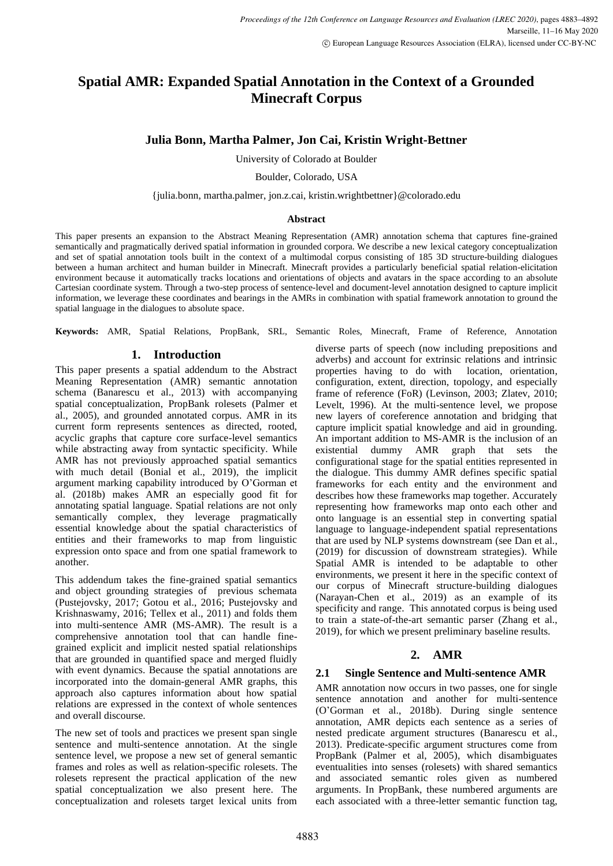# **Spatial AMR: Expanded Spatial Annotation in the Context of a Grounded Minecraft Corpus**

# **Julia Bonn, Martha Palmer, Jon Cai, Kristin Wright-Bettner**

University of Colorado at Boulder

Boulder, Colorado, USA

{julia.bonn, martha.palmer, jon.z.cai, kristin.wrightbettner}@colorado.edu

#### **Abstract**

This paper presents an expansion to the Abstract Meaning Representation (AMR) annotation schema that captures fine-grained semantically and pragmatically derived spatial information in grounded corpora. We describe a new lexical category conceptualization and set of spatial annotation tools built in the context of a multimodal corpus consisting of 185 3D structure-building dialogues between a human architect and human builder in Minecraft. Minecraft provides a particularly beneficial spatial relation-elicitation environment because it automatically tracks locations and orientations of objects and avatars in the space according to an absolute Cartesian coordinate system. Through a two-step process of sentence-level and document-level annotation designed to capture implicit information, we leverage these coordinates and bearings in the AMRs in combination with spatial framework annotation to ground the spatial language in the dialogues to absolute space.

**Keywords:** AMR, Spatial Relations, PropBank, SRL, Semantic Roles, Minecraft, Frame of Reference, Annotation

# **1. Introduction**

This paper presents a spatial addendum to the Abstract Meaning Representation (AMR) semantic annotation schema (Banarescu et al., 2013) with accompanying spatial conceptualization, PropBank rolesets (Palmer et al., 2005), and grounded annotated corpus. AMR in its current form represents sentences as directed, rooted, acyclic graphs that capture core surface-level semantics while abstracting away from syntactic specificity. While AMR has not previously approached spatial semantics with much detail (Bonial et al., 2019), the implicit argument marking capability introduced by O'Gorman et al. (2018b) makes AMR an especially good fit for annotating spatial language. Spatial relations are not only semantically complex, they leverage pragmatically essential knowledge about the spatial characteristics of entities and their frameworks to map from linguistic expression onto space and from one spatial framework to another.

This addendum takes the fine-grained spatial semantics and object grounding strategies of previous schemata (Pustejovsky, 2017; Gotou et al., 2016; Pustejovsky and Krishnaswamy, 2016; Tellex et al., 2011) and folds them into multi-sentence AMR (MS-AMR). The result is a comprehensive annotation tool that can handle finegrained explicit and implicit nested spatial relationships that are grounded in quantified space and merged fluidly with event dynamics. Because the spatial annotations are incorporated into the domain-general AMR graphs, this approach also captures information about how spatial relations are expressed in the context of whole sentences and overall discourse.

The new set of tools and practices we present span single sentence and multi-sentence annotation. At the single sentence level, we propose a new set of general semantic frames and roles as well as relation-specific rolesets. The rolesets represent the practical application of the new spatial conceptualization we also present here. The conceptualization and rolesets target lexical units from diverse parts of speech (now including prepositions and adverbs) and account for extrinsic relations and intrinsic properties having to do with location, orientation, configuration, extent, direction, topology, and especially frame of reference (FoR) (Levinson, 2003; Zlatev, 2010; Levelt, 1996). At the multi-sentence level, we propose new layers of coreference annotation and bridging that capture implicit spatial knowledge and aid in grounding. An important addition to MS-AMR is the inclusion of an existential dummy AMR graph that sets the configurational stage for the spatial entities represented in the dialogue. This dummy AMR defines specific spatial frameworks for each entity and the environment and describes how these frameworks map together. Accurately representing how frameworks map onto each other and onto language is an essential step in converting spatial language to language-independent spatial representations that are used by NLP systems downstream (see Dan et al., (2019) for discussion of downstream strategies). While Spatial AMR is intended to be adaptable to other environments, we present it here in the specific context of our corpus of Minecraft structure-building dialogues (Narayan-Chen et al., 2019) as an example of its specificity and range. This annotated corpus is being used to train a state-of-the-art semantic parser (Zhang et al., 2019), for which we present preliminary baseline results.

# **2. AMR**

# **2.1 Single Sentence and Multi-sentence AMR**

AMR annotation now occurs in two passes, one for single sentence annotation and another for multi-sentence (O'Gorman et al., 2018b). During single sentence annotation, AMR depicts each sentence as a series of nested predicate argument structures (Banarescu et al., 2013). Predicate-specific argument structures come from PropBank (Palmer et al, 2005), which disambiguates eventualities into senses (rolesets) with shared semantics and associated semantic roles given as numbered arguments. In PropBank, these numbered arguments are each associated with a three-letter semantic function tag,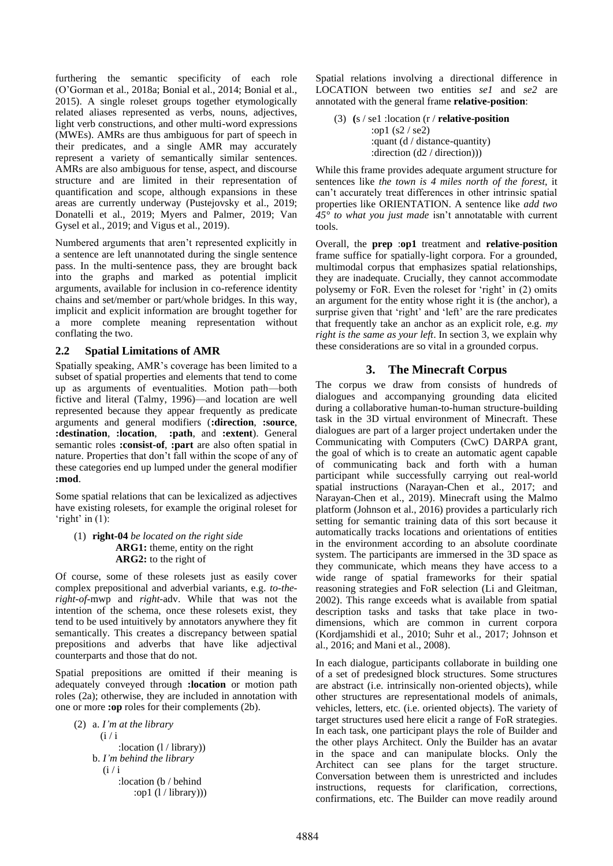furthering the semantic specificity of each role (O'Gorman et al., 2018a; Bonial et al., 2014; Bonial et al., 2015). A single roleset groups together etymologically related aliases represented as verbs, nouns, adjectives, light verb constructions, and other multi-word expressions (MWEs). AMRs are thus ambiguous for part of speech in their predicates, and a single AMR may accurately represent a variety of semantically similar sentences. AMRs are also ambiguous for tense, aspect, and discourse structure and are limited in their representation of quantification and scope, although expansions in these areas are currently underway (Pustejovsky et al., 2019; Donatelli et al., 2019; Myers and Palmer, 2019; Van Gysel et al., 2019; and Vigus et al., 2019).

Numbered arguments that aren't represented explicitly in a sentence are left unannotated during the single sentence pass. In the multi-sentence pass, they are brought back into the graphs and marked as potential implicit arguments, available for inclusion in co-reference identity chains and set/member or part/whole bridges. In this way, implicit and explicit information are brought together for a more complete meaning representation without conflating the two.

# **2.2 Spatial Limitations of AMR**

Spatially speaking, AMR's coverage has been limited to a subset of spatial properties and elements that tend to come up as arguments of eventualities. Motion path—both fictive and literal (Talmy, 1996)—and location are well represented because they appear frequently as predicate arguments and general modifiers (**:direction**, **:source**, **:destination**, **:location**, **:path**, and **:extent**). General semantic roles **:consist-of**, **:part** are also often spatial in nature. Properties that don't fall within the scope of any of these categories end up lumped under the general modifier **:mod**.

Some spatial relations that can be lexicalized as adjectives have existing rolesets, for example the original roleset for 'right' in  $(1)$ :

#### (1) **right-04** *be located on the right side*  **ARG1:** theme, entity on the right  **ARG2:** to the right of

Of course, some of these rolesets just as easily cover complex prepositional and adverbial variants, e.g. *to-theright-of*-mwp and *right*-adv. While that was not the intention of the schema, once these rolesets exist, they tend to be used intuitively by annotators anywhere they fit semantically. This creates a discrepancy between spatial prepositions and adverbs that have like adjectival counterparts and those that do not.

Spatial prepositions are omitted if their meaning is adequately conveyed through **:location** or motion path roles (2a); otherwise, they are included in annotation with one or more **:op** roles for their complements (2b).

(2) a. *I'm at the library*  $(i / i)$  :location (l / library)) b. *I'm behind the library*  $(i / i)$  :location (b / behind :op1 (l / library)))

Spatial relations involving a directional difference in LOCATION between two entities *se1* and *se2* are annotated with the general frame **relative-position**:

(3) **(**s / se1 :location (r / **relative-position** :op1 (s2 / se2) :quant (d / distance-quantity) :direction (d2 / direction)))

While this frame provides adequate argument structure for sentences like *the town is 4 miles north of the forest*, it can't accurately treat differences in other intrinsic spatial properties like ORIENTATION. A sentence like *add two 45° to what you just made* isn't annotatable with current tools.

Overall, the **prep** :**op1** treatment and **relative**-**position** frame suffice for spatially-light corpora. For a grounded, multimodal corpus that emphasizes spatial relationships, they are inadequate. Crucially, they cannot accommodate polysemy or FoR. Even the roleset for 'right' in (2) omits an argument for the entity whose right it is (the anchor), a surprise given that 'right' and 'left' are the rare predicates that frequently take an anchor as an explicit role, e.g. *my right is the same as your left*. In section 3, we explain why these considerations are so vital in a grounded corpus.

# **3. The Minecraft Corpus**

The corpus we draw from consists of hundreds of dialogues and accompanying grounding data elicited during a collaborative human-to-human structure-building task in the 3D virtual environment of Minecraft. These dialogues are part of a larger project undertaken under the Communicating with Computers (CwC) DARPA grant, the goal of which is to create an automatic agent capable of communicating back and forth with a human participant while successfully carrying out real-world spatial instructions (Narayan-Chen et al., 2017; and Narayan-Chen et al., 2019). Minecraft using the Malmo platform (Johnson et al., 2016) provides a particularly rich setting for semantic training data of this sort because it automatically tracks locations and orientations of entities in the environment according to an absolute coordinate system. The participants are immersed in the 3D space as they communicate, which means they have access to a wide range of spatial frameworks for their spatial reasoning strategies and FoR selection (Li and Gleitman, 2002). This range exceeds what is available from spatial description tasks and tasks that take place in twodimensions, which are common in current corpora (Kordjamshidi et al., 2010; Suhr et al., 2017; Johnson et al., 2016; and Mani et al., 2008).

In each dialogue, participants collaborate in building one of a set of predesigned block structures. Some structures are abstract (i.e. intrinsically non-oriented objects), while other structures are representational models of animals, vehicles, letters, etc. (i.e. oriented objects). The variety of target structures used here elicit a range of FoR strategies. In each task, one participant plays the role of Builder and the other plays Architect. Only the Builder has an avatar in the space and can manipulate blocks. Only the Architect can see plans for the target structure. Conversation between them is unrestricted and includes instructions, requests for clarification, corrections, confirmations, etc. The Builder can move readily around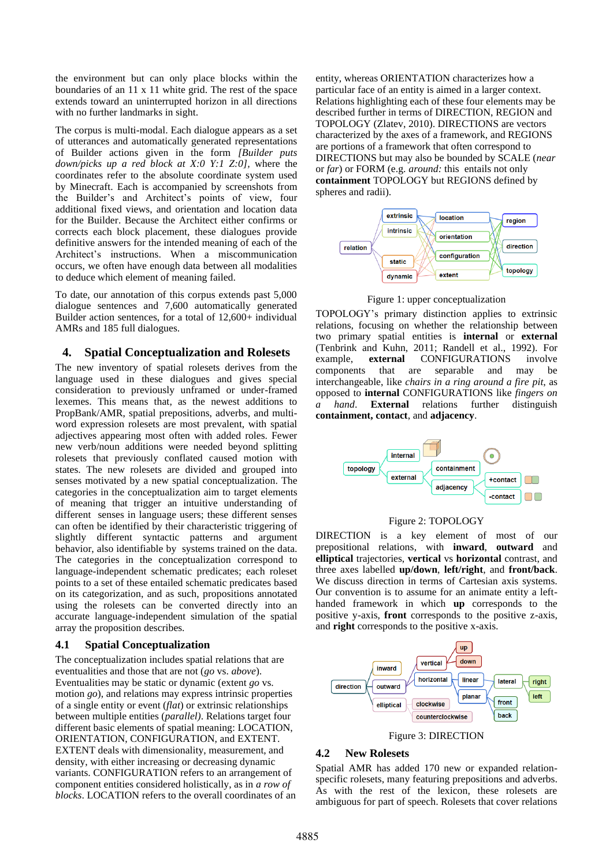the environment but can only place blocks within the boundaries of an 11 x 11 white grid. The rest of the space extends toward an uninterrupted horizon in all directions with no further landmarks in sight.

The corpus is multi-modal. Each dialogue appears as a set of utterances and automatically generated representations of Builder actions given in the form *[Builder puts down/picks up a red block at X:0 Y:1 Z:0],* where the coordinates refer to the absolute coordinate system used by Minecraft. Each is accompanied by screenshots from the Builder's and Architect's points of view, four additional fixed views, and orientation and location data for the Builder. Because the Architect either confirms or corrects each block placement, these dialogues provide definitive answers for the intended meaning of each of the Architect's instructions. When a miscommunication occurs, we often have enough data between all modalities to deduce which element of meaning failed.

To date, our annotation of this corpus extends past 5,000 dialogue sentences and 7,600 automatically generated Builder action sentences, for a total of 12,600+ individual AMRs and 185 full dialogues.

# **4. Spatial Conceptualization and Rolesets**

The new inventory of spatial rolesets derives from the language used in these dialogues and gives special consideration to previously unframed or under-framed lexemes. This means that, as the newest additions to PropBank/AMR, spatial prepositions, adverbs, and multiword expression rolesets are most prevalent, with spatial adjectives appearing most often with added roles. Fewer new verb/noun additions were needed beyond splitting rolesets that previously conflated caused motion with states. The new rolesets are divided and grouped into senses motivated by a new spatial conceptualization. The categories in the conceptualization aim to target elements of meaning that trigger an intuitive understanding of different senses in language users; these different senses can often be identified by their characteristic triggering of slightly different syntactic patterns and argument behavior, also identifiable by systems trained on the data. The categories in the conceptualization correspond to language-independent schematic predicates; each roleset points to a set of these entailed schematic predicates based on its categorization, and as such, propositions annotated using the rolesets can be converted directly into an accurate language-independent simulation of the spatial array the proposition describes.

#### **4.1 Spatial Conceptualization**

The conceptualization includes spatial relations that are eventualities and those that are not (*go* vs. *above*). Eventualities may be static or dynamic (extent *go* vs. motion *go*), and relations may express intrinsic properties of a single entity or event (*flat*) or extrinsic relationships between multiple entities (*parallel)*. Relations target four different basic elements of spatial meaning: LOCATION, ORIENTATION, CONFIGURATION, and EXTENT. EXTENT deals with dimensionality, measurement, and density, with either increasing or decreasing dynamic variants. CONFIGURATION refers to an arrangement of component entities considered holistically, as in *a row of blocks*. LOCATION refers to the overall coordinates of an entity, whereas ORIENTATION characterizes how a particular face of an entity is aimed in a larger context. Relations highlighting each of these four elements may be described further in terms of DIRECTION, REGION and TOPOLOGY (Zlatev, 2010). DIRECTIONS are vectors characterized by the axes of a framework, and REGIONS are portions of a framework that often correspond to DIRECTIONS but may also be bounded by SCALE (*near* or *far*) or FORM (e.g. *around:* this entails not only **containment** TOPOLOGY but REGIONS defined by spheres and radii).



Figure 1: upper conceptualization

TOPOLOGY's primary distinction applies to extrinsic relations, focusing on whether the relationship between two primary spatial entities is **internal** or **external** (Tenbrink and Kuhn, 2011; Randell et al., 1992). For example, **external** CONFIGURATIONS involve components that are separable and may be interchangeable, like *chairs in a ring around a fire pit*, as opposed to **internal** CONFIGURATIONS like *fingers on a hand*. **External** relations further distinguish **containment, contact**, and **adjacency**.



#### Figure 2: TOPOLOGY

DIRECTION is a key element of most of our prepositional relations, with **inward**, **outward** and **elliptical** trajectories, **vertical** vs **horizontal** contrast, and three axes labelled **up/down**, **left/right**, and **front/back**. We discuss direction in terms of Cartesian axis systems. Our convention is to assume for an animate entity a lefthanded framework in which **up** corresponds to the positive y-axis, **front** corresponds to the positive z-axis, and **right** corresponds to the positive x-axis.



Figure 3: DIRECTION

# **4.2 New Rolesets**

Spatial AMR has added 170 new or expanded relationspecific rolesets, many featuring prepositions and adverbs. As with the rest of the lexicon, these rolesets are ambiguous for part of speech. Rolesets that cover relations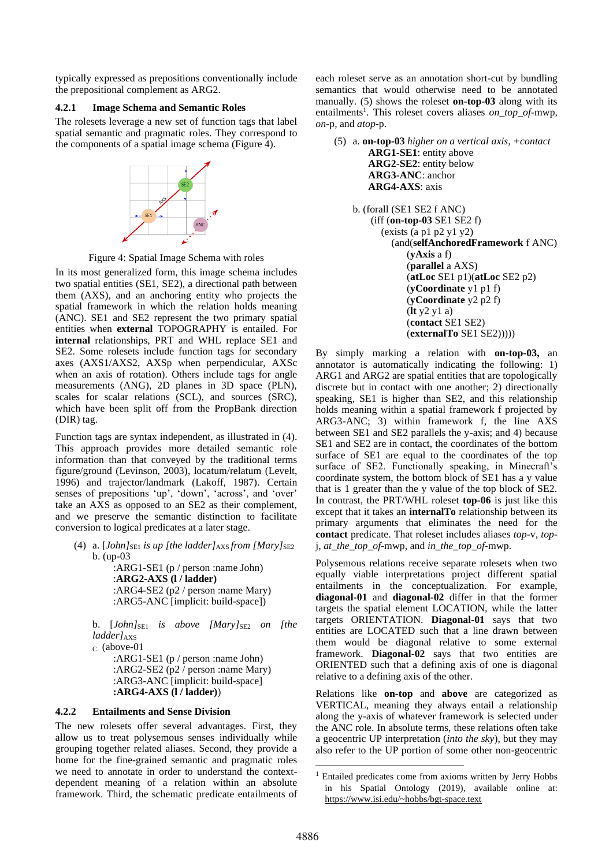typically expressed as prepositions conventionally include the prepositional complement as ARG2.

### **4.2.1 Image Schema and Semantic Roles**

The rolesets leverage a new set of function tags that label spatial semantic and pragmatic roles. They correspond to the components of a spatial image schema (Figure 4).



Figure 4: Spatial Image Schema with roles

In its most generalized form, this image schema includes two spatial entities (SE1, SE2), a directional path between them (AXS), and an anchoring entity who projects the spatial framework in which the relation holds meaning (ANC). SE1 and SE2 represent the two primary spatial entities when **external** TOPOGRAPHY is entailed. For **internal** relationships, PRT and WHL replace SE1 and SE2. Some rolesets include function tags for secondary axes (AXS1/AXS2, AXSp when perpendicular, AXSc when an axis of rotation). Others include tags for angle measurements (ANG), 2D planes in 3D space (PLN), scales for scalar relations (SCL), and sources (SRC), which have been split off from the PropBank direction (DIR) tag.

Function tags are syntax independent, as illustrated in (4). This approach provides more detailed semantic role information than that conveyed by the traditional terms figure/ground (Levinson, 2003), locatum/relatum (Levelt, 1996) and trajector/landmark (Lakoff, 1987). Certain senses of prepositions 'up', 'down', 'across', and 'over' take an AXS as opposed to an SE2 as their complement, and we preserve the semantic distinction to facilitate conversion to logical predicates at a later stage.

(4) a. [*John]*SE1 *is up [the ladder]*AXS *from [Mary]*SE2 b. (up-03

> :ARG1-SE1 (p / person :name John) :**ARG2-AXS (l / ladder)** :ARG4-SE2 (p2 / person :name Mary) :ARG5-ANC [implicit: build-space])

b. [*John*]<sub>SE1</sub> *is above [Mary*]<sub>SE2</sub> *on [the ladder]*<sub>AXS</sub>

C. (above-01

:ARG1-SE1 (p / person :name John) :ARG2-SE2 (p2 / person :name Mary) :ARG3-ANC [implicit: build-space] **:ARG4-AXS (l / ladder)**)

# **4.2.2 Entailments and Sense Division**

The new rolesets offer several advantages. First, they allow us to treat polysemous senses individually while grouping together related aliases. Second, they provide a home for the fine-grained semantic and pragmatic roles we need to annotate in order to understand the contextdependent meaning of a relation within an absolute framework. Third, the schematic predicate entailments of each roleset serve as an annotation short-cut by bundling semantics that would otherwise need to be annotated manually. (5) shows the roleset **on-top-03** along with its entailments<sup>1</sup>. This roleset covers aliases *on\_top\_of*-mwp, *on*-p*,* and *atop-*p.

(5) a. **on-top-03** *higher on a vertical axis, +contact*  **ARG1-SE1**: entity above  **ARG2**-**SE2**: entity below  **ARG3-ANC**: anchor  **ARG4-AXS**: axis b. (forall (SE1 SE2 f ANC) (iff (**on-top-03** SE1 SE2 f) (exists (a p1 p2 y1 y2) (and(**selfAnchoredFramework** f ANC) (**yAxis** a f) (**parallel** a AXS) (**atLoc** SE1 p1)(**atLoc** SE2 p2) (**yCoordinate** y1 p1 f) (**yCoordinate** y2 p2 f) (**lt** y2 y1 a) (**contact** SE1 SE2) (**externalTo** SE1 SE2)))))

By simply marking a relation with **on-top-03,** an annotator is automatically indicating the following: 1) ARG1 and ARG2 are spatial entities that are topologically discrete but in contact with one another; 2) directionally speaking, SE1 is higher than SE2, and this relationship holds meaning within a spatial framework f projected by ARG3-ANC; 3) within framework f, the line AXS between SE1 and SE2 parallels the y-axis; and 4) because SE1 and SE2 are in contact, the coordinates of the bottom surface of SE1 are equal to the coordinates of the top surface of SE2. Functionally speaking, in Minecraft's coordinate system, the bottom block of SE1 has a y value that is 1 greater than the y value of the top block of SE2. In contrast, the PRT/WHL roleset **top-06** is just like this except that it takes an **internalTo** relationship between its primary arguments that eliminates the need for the **contact** predicate. That roleset includes aliases *top*-v, *top*j, *at\_the\_top\_of*-mwp, and *in\_the\_top\_of*-mwp.

Polysemous relations receive separate rolesets when two equally viable interpretations project different spatial entailments in the conceptualization. For example, **diagonal-01** and **diagonal-02** differ in that the former targets the spatial element LOCATION, while the latter targets ORIENTATION. **Diagonal-01** says that two entities are LOCATED such that a line drawn between them would be diagonal relative to some external framework. **Diagonal-02** says that two entities are ORIENTED such that a defining axis of one is diagonal relative to a defining axis of the other.

Relations like **on-top** and **above** are categorized as VERTICAL, meaning they always entail a relationship along the y-axis of whatever framework is selected under the ANC role. In absolute terms, these relations often take a geocentric UP interpretation (*into the sky*), but they may also refer to the UP portion of some other non-geocentric

<sup>&</sup>lt;sup>1</sup> Entailed predicates come from axioms written by Jerry Hobbs in his Spatial Ontology (2019), available online at: <https://www.isi.edu/~hobbs/bgt-space.text>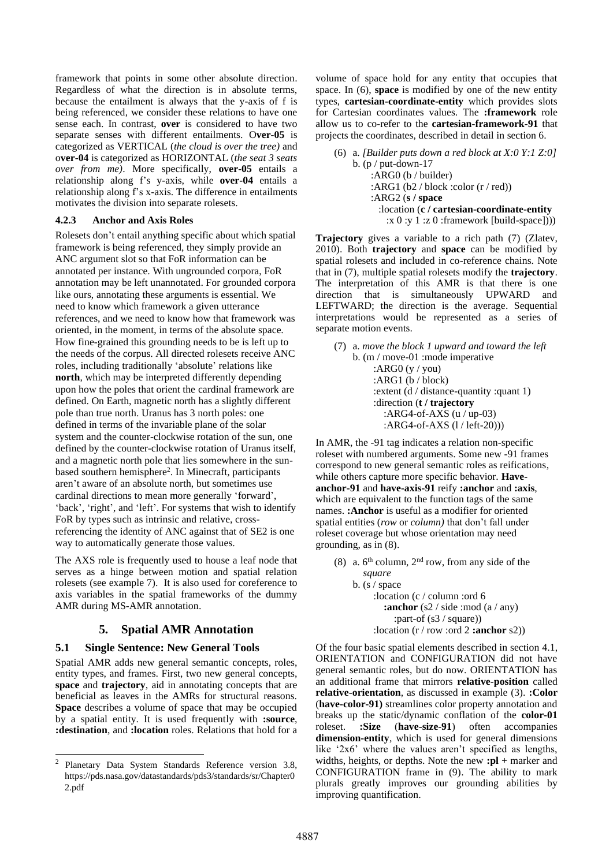framework that points in some other absolute direction. Regardless of what the direction is in absolute terms, because the entailment is always that the y-axis of f is being referenced, we consider these relations to have one sense each. In contrast, **over** is considered to have two separate senses with different entailments. O**ver-05** is categorized as VERTICAL (*the cloud is over the tree)* and o**ver-04** is categorized as HORIZONTAL (*the seat 3 seats over from me)*. More specifically, **over-05** entails a relationship along f's y-axis, while **over-04** entails a relationship along f's x-axis. The difference in entailments motivates the division into separate rolesets.

#### **4.2.3 Anchor and Axis Roles**

Rolesets don't entail anything specific about which spatial framework is being referenced, they simply provide an ANC argument slot so that FoR information can be annotated per instance. With ungrounded corpora, FoR annotation may be left unannotated. For grounded corpora like ours, annotating these arguments is essential. We need to know which framework a given utterance references, and we need to know how that framework was oriented, in the moment, in terms of the absolute space. How fine-grained this grounding needs to be is left up to the needs of the corpus. All directed rolesets receive ANC roles, including traditionally 'absolute' relations like **north**, which may be interpreted differently depending upon how the poles that orient the cardinal framework are defined. On Earth, magnetic north has a slightly different pole than true north. Uranus has 3 north poles: one defined in terms of the invariable plane of the solar system and the counter-clockwise rotation of the sun, one defined by the counter-clockwise rotation of Uranus itself, and a magnetic north pole that lies somewhere in the sunbased southern hemisphere<sup>2</sup>. In Minecraft, participants aren't aware of an absolute north, but sometimes use cardinal directions to mean more generally 'forward', 'back', 'right', and 'left'. For systems that wish to identify FoR by types such as intrinsic and relative, crossreferencing the identity of ANC against that of SE2 is one way to automatically generate those values.

The AXS role is frequently used to house a leaf node that serves as a hinge between motion and spatial relation rolesets (see example 7). It is also used for coreference to axis variables in the spatial frameworks of the dummy AMR during MS-AMR annotation.

# **5. Spatial AMR Annotation**

# **5.1 Single Sentence: New General Tools**

Spatial AMR adds new general semantic concepts, roles, entity types, and frames. First, two new general concepts, **space** and **trajectory**, aid in annotating concepts that are beneficial as leaves in the AMRs for structural reasons. **Space** describes a volume of space that may be occupied by a spatial entity. It is used frequently with **:source**, **:destination**, and **:location** roles. Relations that hold for a

volume of space hold for any entity that occupies that space. In (6), **space** is modified by one of the new entity types, **cartesian-coordinate-entity** which provides slots for Cartesian coordinates values. The **:framework** role allow us to co-refer to the **cartesian-framework-91** that projects the coordinates, described in detail in section 6.

(6) a. *[Builder puts down a red block at X:0 Y:1 Z:0]* b. (p / put-down-17 :ARG0 (b / builder) :ARG1 (b2 / block :color (r / red)) :ARG2 (**s / space** :location (**c / cartesian-coordinate-entity** :x  $0: y 1: z 0:$  framework [build-space]))

**Trajectory** gives a variable to a rich path (7) (Zlatev, 2010). Both **trajectory** and **space** can be modified by spatial rolesets and included in co-reference chains. Note that in (7), multiple spatial rolesets modify the **trajectory**. The interpretation of this AMR is that there is one direction that is simultaneously UPWARD and LEFTWARD; the direction is the average. Sequential interpretations would be represented as a series of separate motion events.

(7) a. *move the block 1 upward and toward the left* b. (m / move-01 :mode imperative : $\text{ARG0}$  (y / you) :ARG1 (b / block) :extent (d / distance-quantity :quant 1) :direction (**t / trajectory** :ARG4-of-AXS (u / up-03) :ARG4-of-AXS (l / left-20)))

In AMR, the -91 tag indicates a relation non-specific roleset with numbered arguments. Some new -91 frames correspond to new general semantic roles as reifications, while others capture more specific behavior. **Haveanchor-91** and **have-axis-91** reify **:anchor** and **:axis**, which are equivalent to the function tags of the same names. **:Anchor** is useful as a modifier for oriented spatial entities (*row* or *column)* that don't fall under roleset coverage but whose orientation may need grounding, as in (8).

(8) a.  $6<sup>th</sup>$  column,  $2<sup>nd</sup>$  row, from any side of the  *square*

b. (s / space :location (c / column :ord 6 **:anchor** (s2 / side :mod (a / any) :part-of (s3 / square)) :location (r / row :ord 2 **:anchor** s2))

Of the four basic spatial elements described in section 4.1, ORIENTATION and CONFIGURATION did not have general semantic roles, but do now. ORIENTATION has an additional frame that mirrors **relative-position** called **relative-orientation**, as discussed in example (3). **:Color**  (**have-color-91)** streamlines color property annotation and breaks up the static/dynamic conflation of the **color-01** roleset. **:Size** (**have-size-91**) often accompanies **dimension-entity**, which is used for general dimensions like '2x6' where the values aren't specified as lengths, widths, heights, or depths. Note the new **:pl +** marker and CONFIGURATION frame in (9). The ability to mark plurals greatly improves our grounding abilities by improving quantification.

<sup>2</sup> Planetary Data System Standards Reference version 3.8, https://pds.nasa.gov/datastandards/pds3/standards/sr/Chapter0 2.pdf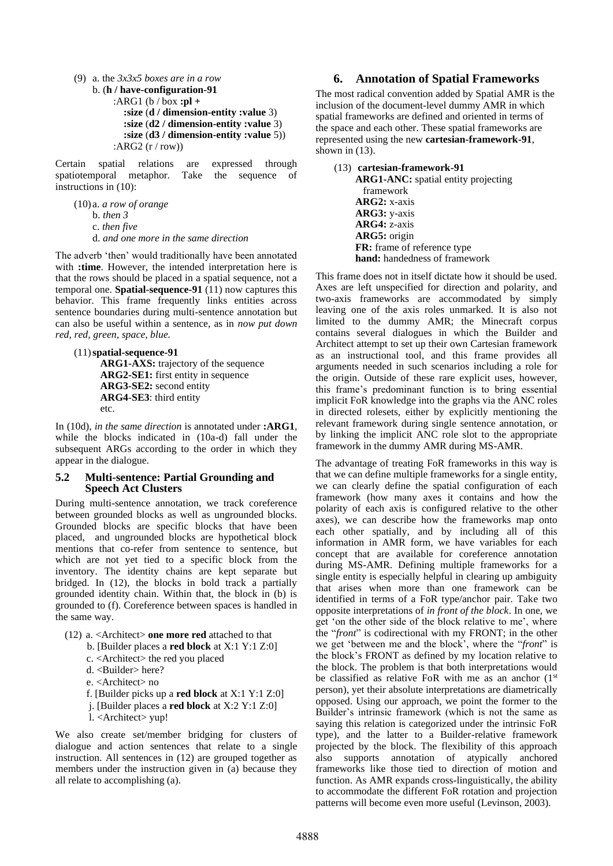(9) a. the *3x3x5 boxes are in a row* b. (**h / have-configuration-91** :ARG1 (b / box **:pl + :size** (**d / dimension-entity :value** 3) **:size** (**d2 / dimension-entity :value** 3) **:size** (**d3 / dimension-entity :value** 5)) :ARG2 (r / row))

Certain spatial relations are expressed through spatiotemporal metaphor. Take the sequence of instructions in (10):

(10) a. *a row of orange* b. *then 3* c. *then five* d. *and one more in the same direction*

The adverb 'then' would traditionally have been annotated with **:time**. However, the intended interpretation here is that the rows should be placed in a spatial sequence, not a temporal one. **Spatial-sequence-91** (11) now captures this behavior. This frame frequently links entities across sentence boundaries during multi-sentence annotation but can also be useful within a sentence, as in *now put down red, red, green, space, blue.* 

```
(11)spatial-sequence-91
   ARG1-AXS: trajectory of the sequence
   ARG2-SE1: first entity in sequence
   ARG3-SE2: second entity
   ARG4-SE3: third entity
   etc.
```
In (10d), *in the same direction* is annotated under **:ARG1**, while the blocks indicated in (10a-d) fall under the subsequent ARGs according to the order in which they appear in the dialogue.

# **5.2 Multi-sentence: Partial Grounding and Speech Act Clusters**

During multi-sentence annotation, we track coreference between grounded blocks as well as ungrounded blocks. Grounded blocks are specific blocks that have been placed, and ungrounded blocks are hypothetical block mentions that co-refer from sentence to sentence, but which are not yet tied to a specific block from the inventory. The identity chains are kept separate but bridged. In (12), the blocks in bold track a partially grounded identity chain. Within that, the block in (b) is grounded to (f). Coreference between spaces is handled in the same way.

- (12) a. <Architect> **one more red** attached to that
	- b. [Builder places a **red block** at X:1 Y:1 Z:0]
	- c. <Architect> the red you placed
	- d. <Builder> here?
	- e. <Architect> no
	- f. [Builder picks up a **red block** at X:1 Y:1 Z:0]
	- j. [Builder places a **red block** at X:2 Y:1 Z:0]
	- l. <Architect> yup!

We also create set/member bridging for clusters of dialogue and action sentences that relate to a single instruction. All sentences in (12) are grouped together as members under the instruction given in (a) because they all relate to accomplishing (a).

### **6. Annotation of Spatial Frameworks**

The most radical convention added by Spatial AMR is the inclusion of the document-level dummy AMR in which spatial frameworks are defined and oriented in terms of the space and each other. These spatial frameworks are represented using the new **cartesian-framework-91**, shown in  $(13)$ .

#### (13) **cartesian-framework-91**

**ARG1-ANC:** spatial entity projecting framework **ARG2:** x-axis **ARG3:** y-axis **ARG4:** z-axis **ARG5:** origin **FR:** frame of reference type **hand:** handedness of framework

This frame does not in itself dictate how it should be used. Axes are left unspecified for direction and polarity, and two-axis frameworks are accommodated by simply leaving one of the axis roles unmarked. It is also not limited to the dummy AMR; the Minecraft corpus contains several dialogues in which the Builder and Architect attempt to set up their own Cartesian framework as an instructional tool, and this frame provides all arguments needed in such scenarios including a role for the origin. Outside of these rare explicit uses, however, this frame's predominant function is to bring essential implicit FoR knowledge into the graphs via the ANC roles in directed rolesets, either by explicitly mentioning the relevant framework during single sentence annotation, or by linking the implicit ANC role slot to the appropriate framework in the dummy AMR during MS-AMR.

The advantage of treating FoR frameworks in this way is that we can define multiple frameworks for a single entity, we can clearly define the spatial configuration of each framework (how many axes it contains and how the polarity of each axis is configured relative to the other axes), we can describe how the frameworks map onto each other spatially, and by including all of this information in AMR form, we have variables for each concept that are available for coreference annotation during MS-AMR. Defining multiple frameworks for a single entity is especially helpful in clearing up ambiguity that arises when more than one framework can be identified in terms of a FoR type/anchor pair. Take two opposite interpretations of *in front of the block*. In one, we get 'on the other side of the block relative to me', where the "*front*" is codirectional with my FRONT; in the other we get 'between me and the block', where the "*front*" is the block's FRONT as defined by my location relative to the block. The problem is that both interpretations would be classified as relative FoR with me as an anchor  $(1<sup>st</sup>$ person), yet their absolute interpretations are diametrically opposed. Using our approach, we point the former to the Builder's intrinsic framework (which is not the same as saying this relation is categorized under the intrinsic FoR type), and the latter to a Builder-relative framework projected by the block. The flexibility of this approach also supports annotation of atypically anchored frameworks like those tied to direction of motion and function. As AMR expands cross-linguistically, the ability to accommodate the different FoR rotation and projection patterns will become even more useful (Levinson, 2003).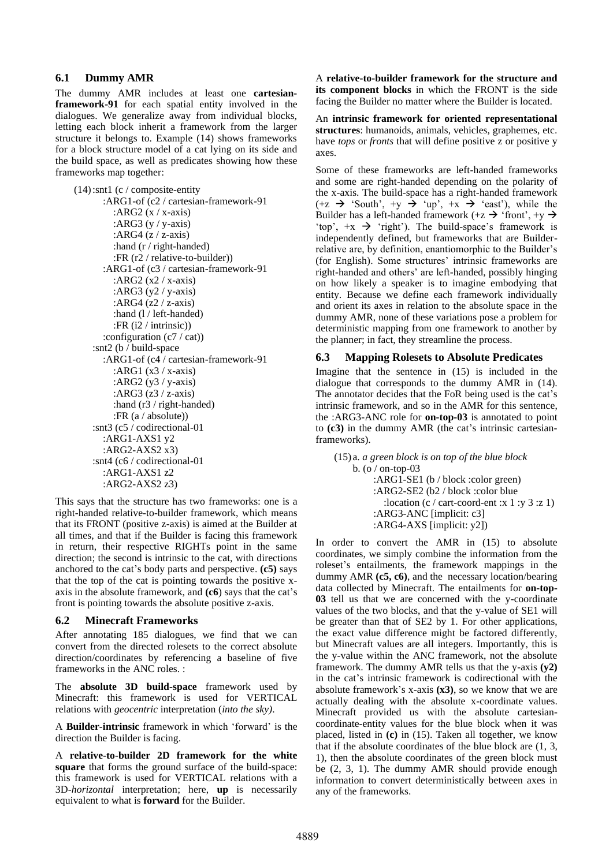#### **6.1 Dummy AMR**

The dummy AMR includes at least one **cartesianframework-91** for each spatial entity involved in the dialogues. We generalize away from individual blocks, letting each block inherit a framework from the larger structure it belongs to. Example (14) shows frameworks for a block structure model of a cat lying on its side and the build space, as well as predicates showing how these frameworks map together:

```
(14):snt1 (c / composite-entity
    :ARG1-of (c2 / cartesian-framework-91
     :ARG2 (x / x-axis) :ARG3 (y / y-axis)
     :ARG4(z / z-axis)
      :hand (r / right-handed)
      :FR (r2 / relative-to-builder))
    :ARG1-of (c3 / cartesian-framework-91
      :ARG2 (x2 / x-axis)
      :ARG3 (y2 / y-axis)
      :ARG4 (z2 / z-axis)
      :hand (l / left-handed)
      :FR (i2 / intrinsic))
    :configuration (c7 / cat))
:snt2 (b / build-space
    :ARG1-of (c4 / cartesian-framework-91
      :ARG1 (x3 / x-axis)
      :ARG2 (y3 / y-axis)
      :ARG3 (z3 / z-axis)
      :hand (r3 / right-handed)
      :FR (a / absolute))
:snt3 (c5 / codirectional-01
    :ARG1-AXS1 y2
    :ARG2-AXS2 x3)
:snt4 (c6 / codirectional-01
    :ARG1-AXS1 z2
    :ARG2-AXS2 z3)
```
This says that the structure has two frameworks: one is a right-handed relative-to-builder framework, which means that its FRONT (positive z-axis) is aimed at the Builder at all times, and that if the Builder is facing this framework in return, their respective RIGHTs point in the same direction; the second is intrinsic to the cat, with directions anchored to the cat's body parts and perspective. **(c5)** says that the top of the cat is pointing towards the positive xaxis in the absolute framework, and **(c6**) says that the cat's front is pointing towards the absolute positive z-axis.

#### **6.2 Minecraft Frameworks**

After annotating 185 dialogues, we find that we can convert from the directed rolesets to the correct absolute direction/coordinates by referencing a baseline of five frameworks in the ANC roles. :

The **absolute 3D build-space** framework used by Minecraft: this framework is used for VERTICAL relations with *geocentric* interpretation (*into the sky)*.

A **Builder-intrinsic** framework in which 'forward' is the direction the Builder is facing.

A **relative-to-builder 2D framework for the white square** that forms the ground surface of the build-space: this framework is used for VERTICAL relations with a 3D-*horizontal* interpretation; here, **up** is necessarily equivalent to what is **forward** for the Builder.

A **relative-to-builder framework for the structure and its component blocks** in which the FRONT is the side facing the Builder no matter where the Builder is located.

An **intrinsic framework for oriented representational structures**: humanoids, animals, vehicles, graphemes, etc. have *tops* or *fronts* that will define positive z or positive y axes.

Some of these frameworks are left-handed frameworks and some are right-handed depending on the polarity of the x-axis. The build-space has a right-handed framework  $(+z \rightarrow 'South', +y \rightarrow 'up', +x \rightarrow 'east')$ , while the Builder has a left-handed framework (+z  $\rightarrow$  'front', +y  $\rightarrow$ 'top',  $+x$   $\rightarrow$  'right'). The build-space's framework is independently defined, but frameworks that are Builderrelative are, by definition, enantiomorphic to the Builder's (for English). Some structures' intrinsic frameworks are right-handed and others' are left-handed, possibly hinging on how likely a speaker is to imagine embodying that entity. Because we define each framework individually and orient its axes in relation to the absolute space in the dummy AMR, none of these variations pose a problem for deterministic mapping from one framework to another by the planner; in fact, they streamline the process.

# **6.3 Mapping Rolesets to Absolute Predicates**

Imagine that the sentence in (15) is included in the dialogue that corresponds to the dummy AMR in (14). The annotator decides that the FoR being used is the cat's intrinsic framework, and so in the AMR for this sentence, the :ARG3-ANC role for **on-top-03** is annotated to point to **(c3)** in the dummy AMR (the cat's intrinsic cartesianframeworks).

(15) a. *a green block is on top of the blue block* b. (o / on-top-03 :ARG1-SE1 (b / block :color green) :ARG2-SE2 (b2 / block :color blue : location (c / cart-coord-ent :x 1 :y 3 :z 1) :ARG3-ANC [implicit: c3] :ARG4-AXS [implicit: y2])

In order to convert the AMR in (15) to absolute coordinates, we simply combine the information from the roleset's entailments, the framework mappings in the dummy AMR **(c5, c6)**, and the necessary location/bearing data collected by Minecraft. The entailments for **on-top-03** tell us that we are concerned with the y-coordinate values of the two blocks, and that the y-value of SE1 will be greater than that of SE2 by 1. For other applications, the exact value difference might be factored differently, but Minecraft values are all integers. Importantly, this is the y-value within the ANC framework, not the absolute framework. The dummy AMR tells us that the y-axis **(y2)** in the cat's intrinsic framework is codirectional with the absolute framework's x-axis **(x3)**, so we know that we are actually dealing with the absolute x-coordinate values. Minecraft provided us with the absolute cartesiancoordinate-entity values for the blue block when it was placed, listed in **(c)** in (15). Taken all together, we know that if the absolute coordinates of the blue block are (1, 3, 1), then the absolute coordinates of the green block must be (2, 3, 1). The dummy AMR should provide enough information to convert deterministically between axes in any of the frameworks.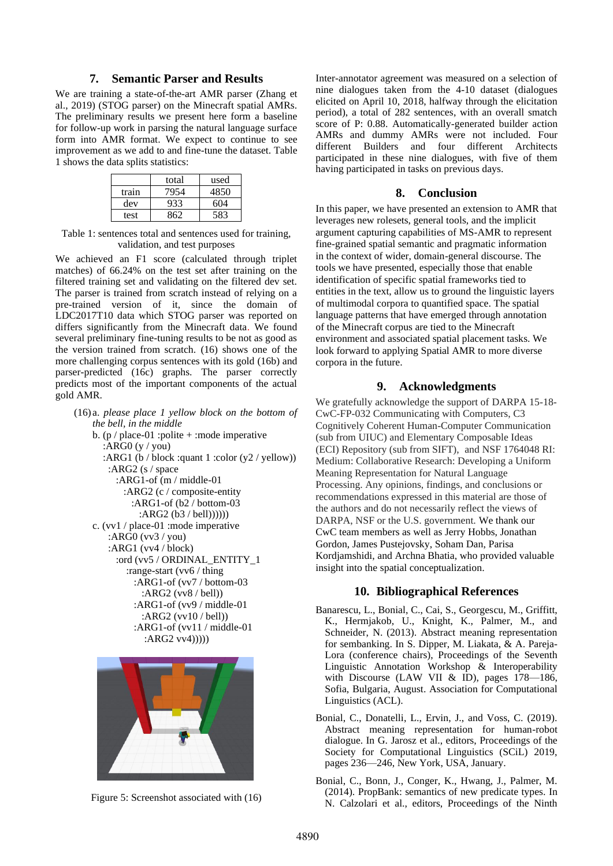# **7. Semantic Parser and Results**

We are training a state-of-the-art AMR parser (Zhang et al., 2019) (STOG parser) on the Minecraft spatial AMRs. The preliminary results we present here form a baseline for follow-up work in parsing the natural language surface form into AMR format. We expect to continue to see improvement as we add to and fine-tune the dataset. Table 1 shows the data splits statistics:

|       | total | used |
|-------|-------|------|
| train | 7954  | 4850 |
| dev   | 933   | 604  |
| test  | 862   | 583  |

Table 1: sentences total and sentences used for training, validation, and test purposes

We achieved an F1 score (calculated through triplet matches) of 66.24% on the test set after training on the filtered training set and validating on the filtered dev set. The parser is trained from scratch instead of relying on a pre-trained version of it, since the domain of LDC2017T10 data which STOG parser was reported on differs significantly from the Minecraft data. We found several preliminary fine-tuning results to be not as good as the version trained from scratch. (16) shows one of the more challenging corpus sentences with its gold (16b) and parser-predicted (16c) graphs. The parser correctly predicts most of the important components of the actual gold AMR.

(16) a. *please place 1 yellow block on the bottom of the bell, in the middle* b. (p / place-01 : polite + : mode imperative :ARG0  $(y / you)$  :ARG1 (b / block :quant 1 :color (y2 / yellow)) :ARG2 (s / space :ARG1-of (m / middle-01 :ARG2 (c / composite-entity :ARG1-of (b2 / bottom-03 :ARG2 (b3 / bell)))))) c. (vv1 / place-01 :mode imperative :ARG0 (vv3 / you) :ARG1 (vv4 / block) :ord (vv5 / ORDINAL\_ENTITY\_1 :range-start (vv6 / thing :ARG1-of (vv7 / bottom-03 :ARG2 (vv8 / bell)) :ARG1-of (vv9 / middle-01 :ARG2 (vv10 / bell)) :ARG1-of (vv11 / middle-01 :ARG2 vv4)))))



Figure 5: Screenshot associated with (16)

Inter-annotator agreement was measured on a selection of nine dialogues taken from the 4-10 dataset (dialogues elicited on April 10, 2018, halfway through the elicitation period), a total of 282 sentences, with an overall smatch score of P: 0.88. Automatically-generated builder action AMRs and dummy AMRs were not included. Four different Builders and four different Architects participated in these nine dialogues, with five of them having participated in tasks on previous days.

#### **8. Conclusion**

In this paper, we have presented an extension to AMR that leverages new rolesets, general tools, and the implicit argument capturing capabilities of MS-AMR to represent fine-grained spatial semantic and pragmatic information in the context of wider, domain-general discourse. The tools we have presented, especially those that enable identification of specific spatial frameworks tied to entities in the text, allow us to ground the linguistic layers of multimodal corpora to quantified space. The spatial language patterns that have emerged through annotation of the Minecraft corpus are tied to the Minecraft environment and associated spatial placement tasks. We look forward to applying Spatial AMR to more diverse corpora in the future.

### **9. Acknowledgments**

We gratefully acknowledge the support of DARPA 15-18- CwC-FP-032 Communicating with Computers, C3 Cognitively Coherent Human-Computer Communication (sub from UIUC) and Elementary Composable Ideas (ECI) Repository (sub from SIFT), and NSF 1764048 RI: Medium: Collaborative Research: Developing a Uniform Meaning Representation for Natural Language Processing. Any opinions, findings, and conclusions or recommendations expressed in this material are those of the authors and do not necessarily reflect the views of DARPA, NSF or the U.S. government. We thank our CwC team members as well as Jerry Hobbs, Jonathan Gordon, James Pustejovsky, Soham Dan, Parisa Kordjamshidi, and Archna Bhatia, who provided valuable insight into the spatial conceptualization.

#### **10. Bibliographical References**

- Banarescu, L., Bonial, C., Cai, S., Georgescu, M., Griffitt, K., Hermjakob, U., Knight, K., Palmer, M., and Schneider, N. (2013). Abstract meaning representation for sembanking. In S. Dipper, M. Liakata, & A. Pareja-Lora (conference chairs), Proceedings of the Seventh Linguistic Annotation Workshop & Interoperability with Discourse (LAW VII & ID), pages 178–186, Sofia, Bulgaria, August. Association for Computational Linguistics (ACL).
- Bonial, C., Donatelli, L., Ervin, J., and Voss, C. (2019). Abstract meaning representation for human-robot dialogue. In G. Jarosz et al., editors, Proceedings of the Society for Computational Linguistics (SCiL) 2019, pages 236—246, New York, USA, January.
- Bonial, C., Bonn, J., Conger, K., Hwang, J., Palmer, M. (2014). PropBank: semantics of new predicate types. In N. Calzolari et al., editors, Proceedings of the Ninth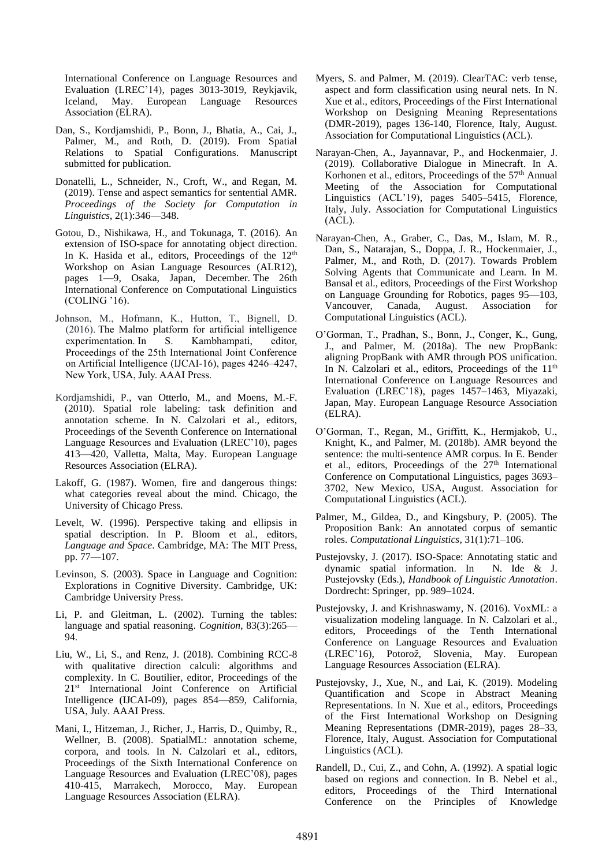International Conference on Language Resources and Evaluation (LREC'14), pages 3013-3019, Reykjavik, Iceland, May. European Language Resources Association (ELRA).

- Dan, S., Kordjamshidi, P., Bonn, J., Bhatia, A., Cai, J., Palmer, M., and Roth, D. (2019). From Spatial Relations to Spatial Configurations. Manuscript submitted for publication.
- Donatelli, L., Schneider, N., Croft, W., and Regan, M. (2019). Tense and aspect semantics for sentential AMR. *Proceedings of the Society for Computation in Linguistics*, 2(1):346—348.
- Gotou, D., Nishikawa, H., and Tokunaga, T. (2016). An extension of ISO-space for annotating object direction. In K. Hasida et al., editors, Proceedings of the 12<sup>th</sup> Workshop on Asian Language Resources (ALR12), pages 1—9, Osaka, Japan, December. The 26th International Conference on Computational Linguistics (COLING '16).
- Johnson, M., Hofmann, K., Hutton, T., Bignell, D. (2016). [The Malmo platform for artificial intelligence](http://www.ijcai.org/Proceedings/16/Papers/643.pdf)  [experimentation.](http://www.ijcai.org/Proceedings/16/Papers/643.pdf) In S. Kambhampati, editor, [Proceedings of the 25th International Joint Conference](http://www.ijcai.org/Proceedings/2016)  [on Artificial Intelligence](http://www.ijcai.org/Proceedings/2016) (IJCAI-16), pages 4246–4247, New York, USA, July. AAAI Press.
- Kordjamshidi, P., van Otterlo, M., and Moens, M.-F. (2010). Spatial role labeling: task definition and annotation scheme. In N. Calzolari et al., editors, Proceedings of the Seventh Conference on International Language Resources and Evaluation (LREC'10), pages 413—420, Valletta, Malta, May. European Language Resources Association (ELRA).
- Lakoff, G. (1987). Women, fire and dangerous things: what categories reveal about the mind. Chicago, the University of Chicago Press.
- Levelt, W. (1996). Perspective taking and ellipsis in spatial description. In P. Bloom et al., editors, *Language and Space*. Cambridge, MA: The MIT Press, pp. 77—107.
- Levinson, S. (2003). Space in Language and Cognition: Explorations in Cognitive Diversity. Cambridge, UK: Cambridge University Press.
- Li, P. and Gleitman, L. (2002). Turning the tables: language and spatial reasoning. *Cognition*, 83(3):265— 94.
- Liu, W., Li, S., and Renz, J. (2018). Combining RCC-8 with qualitative direction calculi: algorithms and complexity. In C. Boutilier, editor, Proceedings of the 21st International Joint Conference on Artificial Intelligence (IJCAI-09), pages 854—859, California, USA, July. AAAI Press.
- Mani, I., Hitzeman, J., Richer, J., Harris, D., Quimby, R., Wellner, B. (2008). SpatialML: annotation scheme, corpora, and tools. In N. Calzolari et al., editors, Proceedings of the Sixth International Conference on Language Resources and Evaluation (LREC'08), pages 410-415, Marrakech, Morocco, May. European Language Resources Association (ELRA).
- Myers, S. and Palmer, M. (2019). ClearTAC: verb tense, aspect and form classification using neural nets. In N. Xue et al., editors, Proceedings of the First International Workshop on Designing Meaning Representations (DMR-2019), pages 136-140, Florence, Italy, August. Association for Computational Linguistics (ACL).
- Narayan-Chen, A., Jayannavar, P., and Hockenmaier, J. (2019). Collaborative Dialogue in Minecraft. In A. Korhonen et al., editors, Proceedings of the 57<sup>th</sup> Annual Meeting of the Association for Computational Linguistics (ACL'19), pages 5405–5415, Florence, Italy, July. Association for Computational Linguistics (ACL).
- Narayan-Chen, A., Graber, C., Das, M., Islam, M. R., Dan, S., Natarajan, S., Doppa, J. R., Hockenmaier, J., Palmer, M., and Roth, D. (2017). Towards Problem Solving Agents that Communicate and Learn. In M. Bansal et al., editors, Proceedings of the First Workshop on Language Grounding for Robotics, pages 95—103, Vancouver, Canada, August. Association for Computational Linguistics (ACL).
- O'Gorman, T., Pradhan, S., Bonn, J., Conger, K., Gung, J., and Palmer, M. (2018a). The new PropBank: aligning PropBank with AMR through POS unification. In N. Calzolari et al., editors, Proceedings of the  $11<sup>th</sup>$ International Conference on Language Resources and Evaluation (LREC'18), pages 1457–1463, Miyazaki, Japan, May. European Language Resource Association (ELRA).
- O'Gorman, T., Regan, M., Griffitt, K., Hermjakob, U., Knight, K., and Palmer, M. (2018b). AMR beyond the sentence: the multi-sentence AMR corpus. In E. Bender et al., editors, Proceedings of the  $27<sup>th</sup>$  International Conference on Computational Linguistics, pages 3693– 3702, New Mexico, USA, August. Association for Computational Linguistics (ACL).
- Palmer, M., Gildea, D., and Kingsbury, P. (2005). The Proposition Bank: An annotated corpus of semantic roles. *Computational Linguistics*, 31(1):71–106.
- Pustejovsky, J. (2017). ISO-Space: Annotating static and dynamic spatial information. In N. Ide & J. Pustejovsky (Eds.), *Handbook of Linguistic Annotation*. Dordrecht: Springer, pp. 989–1024.
- Pustejovsky, J. and Krishnaswamy, N. (2016). VoxML: a visualization modeling language. In N. Calzolari et al., editors, Proceedings of the Tenth International Conference on Language Resources and Evaluation (LREC'16), Potoroz̆, Slovenia, May. European Language Resources Association (ELRA).
- Pustejovsky, J., Xue, N., and Lai, K. (2019). Modeling Quantification and Scope in Abstract Meaning Representations. In N. Xue et al., editors, Proceedings of the First International Workshop on Designing Meaning Representations (DMR-2019), pages 28–33, Florence, Italy, August. Association for Computational Linguistics (ACL).
- Randell, D., Cui, Z., and Cohn, A. (1992). A spatial logic based on regions and connection. In B. Nebel et al., editors, Proceedings of the Third International Conference on the Principles of Knowledge